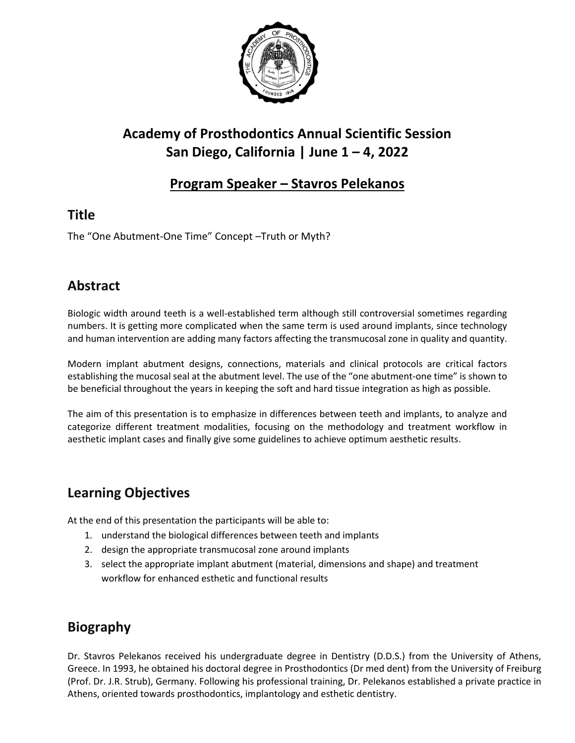

# **Academy of Prosthodontics Annual Scientific Session San Diego, California | June 1 – 4, 2022**

### **Program Speaker – Stavros Pelekanos**

### **Title**

The "One Abutment-One Time" Concept –Truth or Myth?

### **Abstract**

Biologic width around teeth is a well-established term although still controversial sometimes regarding numbers. It is getting more complicated when the same term is used around implants, since technology and human intervention are adding many factors affecting the transmucosal zone in quality and quantity.

Modern implant abutment designs, connections, materials and clinical protocols are critical factors establishing the mucosal seal at the abutment level. The use of the "one abutment-one time" is shown to be beneficial throughout the years in keeping the soft and hard tissue integration as high as possible.

The aim of this presentation is to emphasize in differences between teeth and implants, to analyze and categorize different treatment modalities, focusing on the methodology and treatment workflow in aesthetic implant cases and finally give some guidelines to achieve optimum aesthetic results.

#### **Learning Objectives**

At the end of this presentation the participants will be able to:

- 1. understand the biological differences between teeth and implants
- 2. design the appropriate transmucosal zone around implants
- 3. select the appropriate implant abutment (material, dimensions and shape) and treatment workflow for enhanced esthetic and functional results

## **Biography**

Dr. Stavros Pelekanos received his undergraduate degree in Dentistry (D.D.S.) from the University of Athens, Greece. In 1993, he obtained his doctoral degree in Prosthodontics (Dr med dent) from the University of Freiburg (Prof. Dr. J.R. Strub), Germany. Following his professional training, Dr. Pelekanos established a private practice in Athens, oriented towards prosthodontics, implantology and esthetic dentistry.